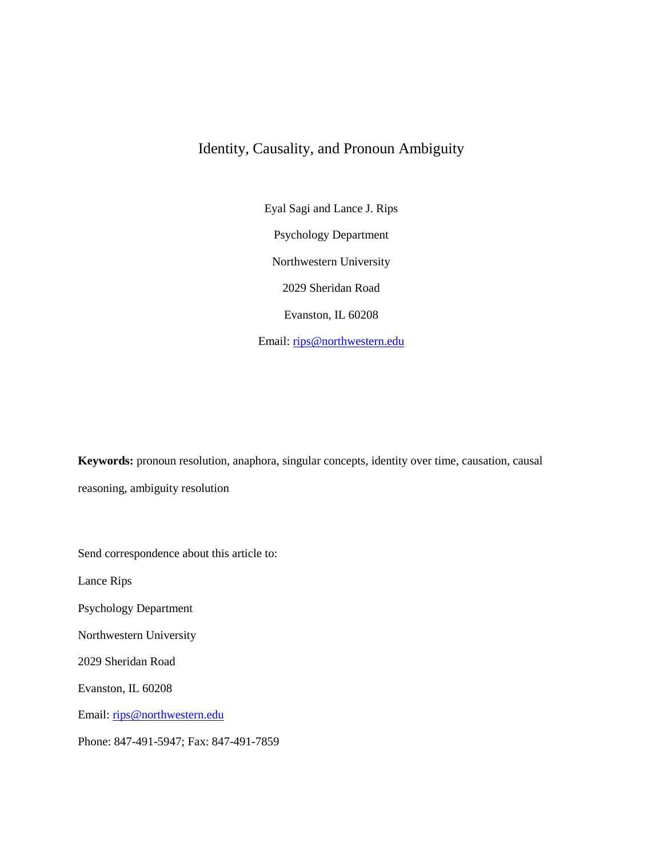## Identity, Causality, and Pronoun Ambiguity

Eyal Sagi and Lance J. Rips Psychology Department Northwestern University 2029 Sheridan Road Evanston, IL 60208 Email: [rips@northwestern.edu](mailto:rips@northwestern.edu)

**Keywords:** pronoun resolution, anaphora, singular concepts, identity over time, causation, causal reasoning, ambiguity resolution

Send correspondence about this article to:

Lance Rips

Psychology Department

Northwestern University

2029 Sheridan Road

Evanston, IL 60208

Email: [rips@northwestern.edu](mailto:rips@northwestern.edu)

Phone: 847-491-5947; Fax: 847-491-7859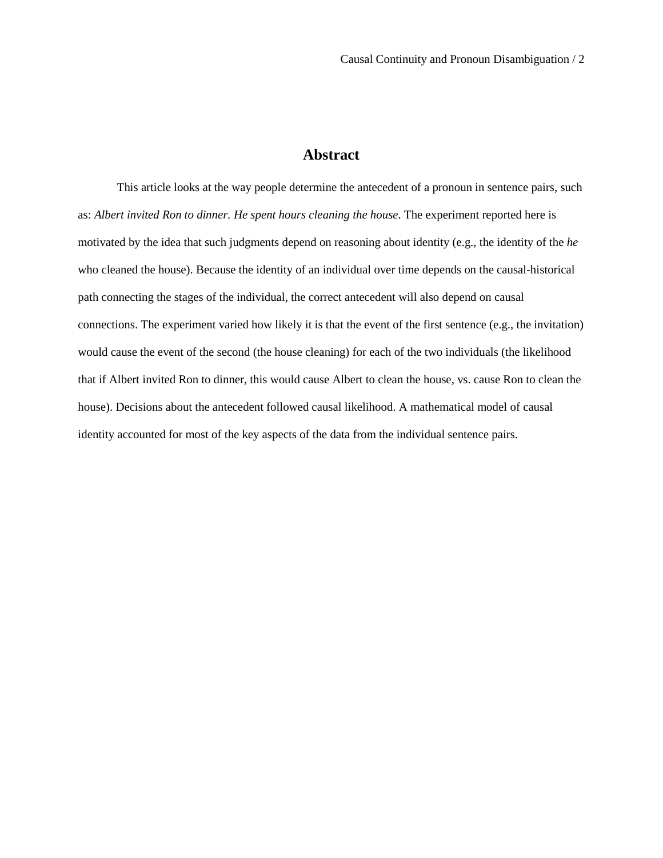### **Abstract**

This article looks at the way people determine the antecedent of a pronoun in sentence pairs, such as: *Albert invited Ron to dinner. He spent hours cleaning the house*. The experiment reported here is motivated by the idea that such judgments depend on reasoning about identity (e.g., the identity of the *he* who cleaned the house). Because the identity of an individual over time depends on the causal-historical path connecting the stages of the individual, the correct antecedent will also depend on causal connections. The experiment varied how likely it is that the event of the first sentence (e.g., the invitation) would cause the event of the second (the house cleaning) for each of the two individuals (the likelihood that if Albert invited Ron to dinner, this would cause Albert to clean the house, vs. cause Ron to clean the house). Decisions about the antecedent followed causal likelihood. A mathematical model of causal identity accounted for most of the key aspects of the data from the individual sentence pairs.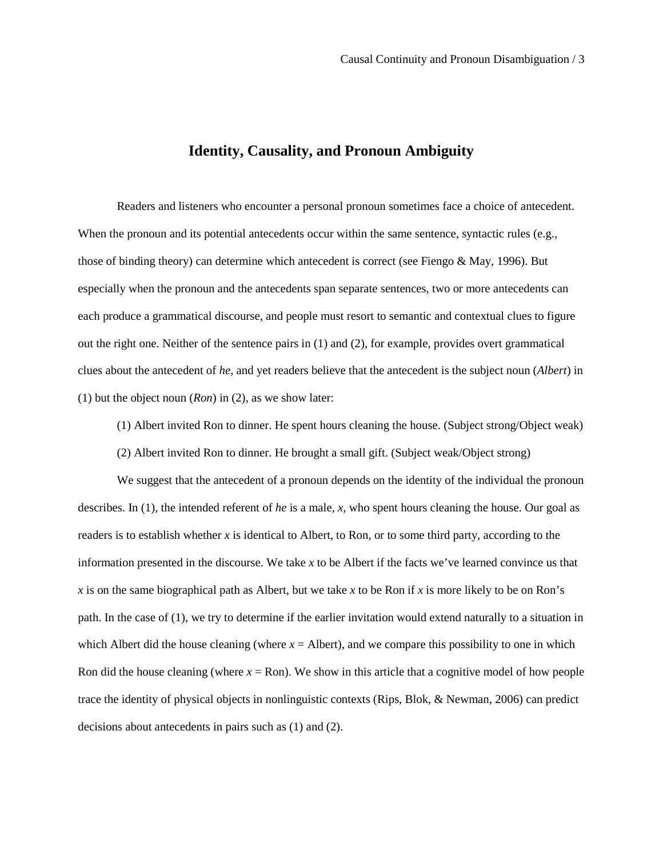## **Identity, Causality, and Pronoun Ambiguity**

Readers and listeners who encounter a personal pronoun sometimes face a choice of antecedent. When the pronoun and its potential antecedents occur within the same sentence, syntactic rules (e.g., those of binding theory) can determine which antecedent is correct (see Fiengo & May, 1996). But especially when the pronoun and the antecedents span separate sentences, two or more antecedents can each produce a grammatical discourse, and people must resort to semantic and contextual clues to figure out the right one. Neither of the sentence pairs in (1) and (2), for example, provides overt grammatical clues about the antecedent of *he*, and yet readers believe that the antecedent is the subject noun (*Albert*) in (1) but the object noun (*Ron*) in (2), as we show later:

(1) Albert invited Ron to dinner. He spent hours cleaning the house. (Subject strong/Object weak)

(2) Albert invited Ron to dinner. He brought a small gift. (Subject weak/Object strong)

We suggest that the antecedent of a pronoun depends on the identity of the individual the pronoun describes. In (1)*,* the intended referent of *he* is a male, *x,* who spent hours cleaning the house. Our goal as readers is to establish whether  $x$  is identical to Albert, to Ron, or to some third party, according to the information presented in the discourse. We take *x* to be Albert if the facts we've learned convince us that *x* is on the same biographical path as Albert, but we take *x* to be Ron if *x* is more likely to be on Ron's path. In the case of (1), we try to determine if the earlier invitation would extend naturally to a situation in which Albert did the house cleaning (where  $x =$  Albert), and we compare this possibility to one in which Ron did the house cleaning (where  $x = \text{Ron}$ ). We show in this article that a cognitive model of how people trace the identity of physical objects in nonlinguistic contexts (Rips, Blok, & Newman, 2006) can predict decisions about antecedents in pairs such as (1) and (2).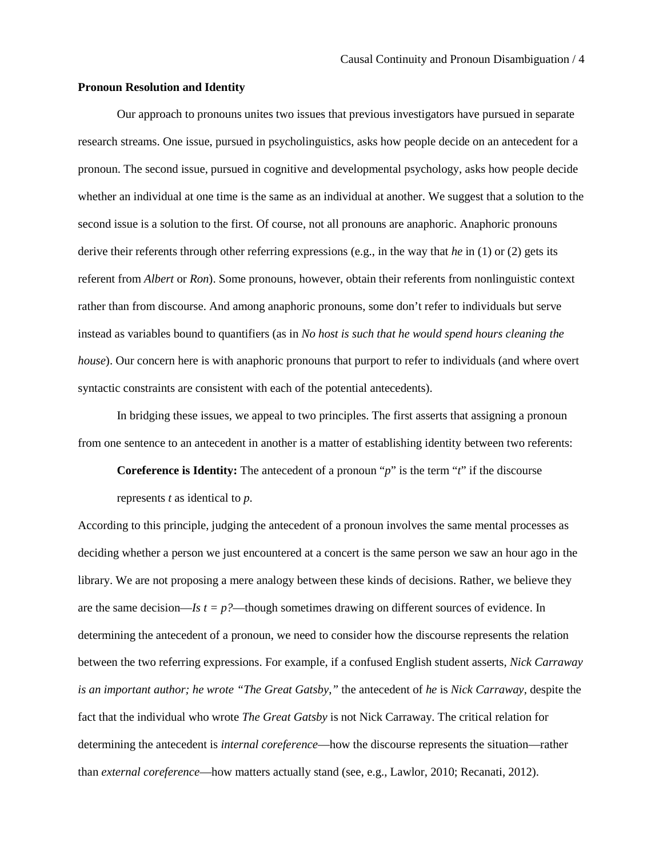#### **Pronoun Resolution and Identity**

Our approach to pronouns unites two issues that previous investigators have pursued in separate research streams. One issue, pursued in psycholinguistics, asks how people decide on an antecedent for a pronoun. The second issue, pursued in cognitive and developmental psychology, asks how people decide whether an individual at one time is the same as an individual at another. We suggest that a solution to the second issue is a solution to the first. Of course, not all pronouns are anaphoric. Anaphoric pronouns derive their referents through other referring expressions (e.g., in the way that *he* in (1) or (2) gets its referent from *Albert* or *Ron*). Some pronouns, however, obtain their referents from nonlinguistic context rather than from discourse. And among anaphoric pronouns, some don't refer to individuals but serve instead as variables bound to quantifiers (as in *No host is such that he would spend hours cleaning the house*). Our concern here is with anaphoric pronouns that purport to refer to individuals (and where overt syntactic constraints are consistent with each of the potential antecedents).

In bridging these issues, we appeal to two principles. The first asserts that assigning a pronoun from one sentence to an antecedent in another is a matter of establishing identity between two referents:

**Coreference is Identity:** The antecedent of a pronoun "*p*" is the term "*t*" if the discourse represents *t* as identical to *p*.

According to this principle, judging the antecedent of a pronoun involves the same mental processes as deciding whether a person we just encountered at a concert is the same person we saw an hour ago in the library. We are not proposing a mere analogy between these kinds of decisions. Rather, we believe they are the same decision—*Is t = p?*—though sometimes drawing on different sources of evidence. In determining the antecedent of a pronoun, we need to consider how the discourse represents the relation between the two referring expressions. For example, if a confused English student asserts, *Nick Carraway is an important author; he wrote "The Great Gatsby*,*"* the antecedent of *he* is *Nick Carraway*, despite the fact that the individual who wrote *The Great Gatsby* is not Nick Carraway. The critical relation for determining the antecedent is *internal coreference*—how the discourse represents the situation—rather than *external coreference*—how matters actually stand (see, e.g., Lawlor, 2010; Recanati, 2012).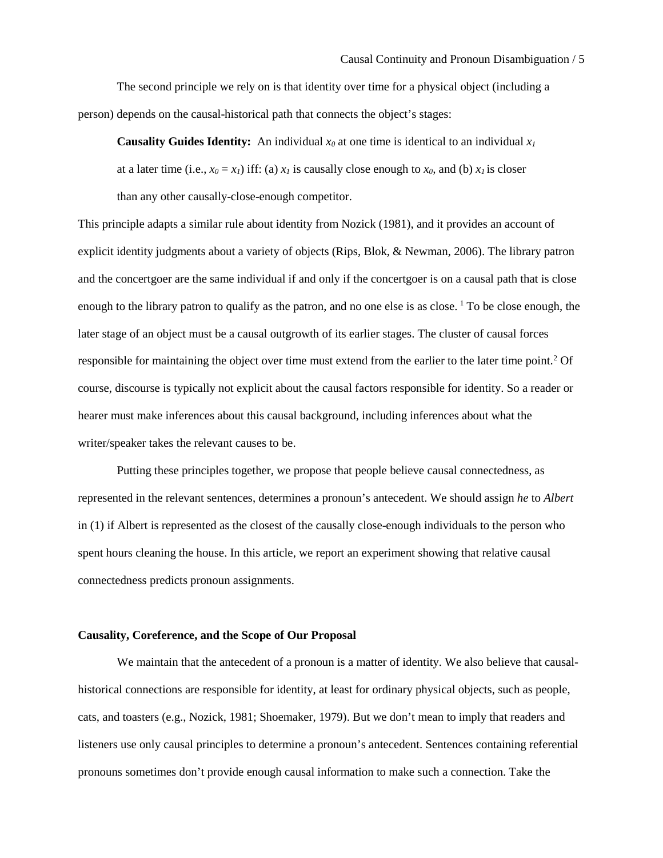The second principle we rely on is that identity over time for a physical object (including a person) depends on the causal-historical path that connects the object's stages:

**Causality Guides Identity:** An individual  $x_0$  at one time is identical to an individual  $x_1$ at a later time (i.e.,  $x_0 = x_1$ ) iff: (a)  $x_1$  is causally close enough to  $x_0$ , and (b)  $x_1$  is closer than any other causally-close-enough competitor.

This principle adapts a similar rule about identity from Nozick (1981), and it provides an account of explicit identity judgments about a variety of objects (Rips, Blok, & Newman, 2006). The library patron and the concertgoer are the same individual if and only if the concertgoer is on a causal path that is close enough to the library patron to qualify as the patron, and no one else is as close.  $1$  To be close enough, the later stage of an object must be a causal outgrowth of its earlier stages. The cluster of causal forces responsible for maintaining the object over time must extend from the earlier to the later time point. [2](#page-21-1) Of course, discourse is typically not explicit about the causal factors responsible for identity. So a reader or hearer must make inferences about this causal background, including inferences about what the writer/speaker takes the relevant causes to be.

Putting these principles together, we propose that people believe causal connectedness, as represented in the relevant sentences, determines a pronoun's antecedent. We should assign *he* to *Albert* in (1) if Albert is represented as the closest of the causally close-enough individuals to the person who spent hours cleaning the house. In this article, we report an experiment showing that relative causal connectedness predicts pronoun assignments.

#### **Causality, Coreference, and the Scope of Our Proposal**

We maintain that the antecedent of a pronoun is a matter of identity. We also believe that causalhistorical connections are responsible for identity, at least for ordinary physical objects, such as people, cats, and toasters (e.g., Nozick, 1981; Shoemaker, 1979). But we don't mean to imply that readers and listeners use only causal principles to determine a pronoun's antecedent. Sentences containing referential pronouns sometimes don't provide enough causal information to make such a connection. Take the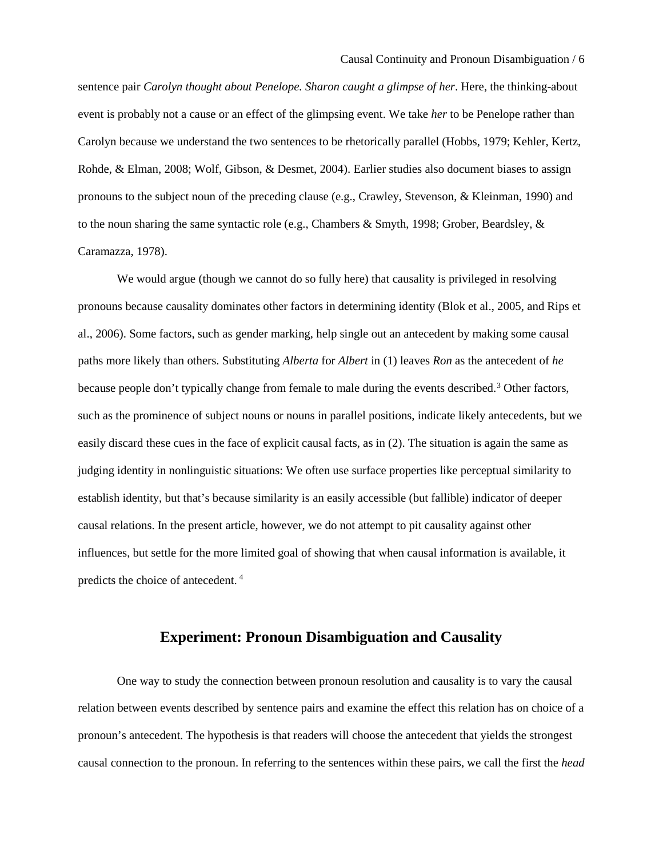sentence pair *Carolyn thought about Penelope. Sharon caught a glimpse of her*. Here, the thinking-about event is probably not a cause or an effect of the glimpsing event. We take *her* to be Penelope rather than Carolyn because we understand the two sentences to be rhetorically parallel (Hobbs, 1979; Kehler, Kertz, Rohde, & Elman, 2008; Wolf, Gibson, & Desmet, 2004). Earlier studies also document biases to assign pronouns to the subject noun of the preceding clause (e.g., Crawley, Stevenson, & Kleinman, 1990) and to the noun sharing the same syntactic role (e.g., Chambers & Smyth, 1998; Grober, Beardsley,  $\&$ Caramazza, 1978).

We would argue (though we cannot do so fully here) that causality is privileged in resolving pronouns because causality dominates other factors in determining identity (Blok et al., 2005, and Rips et al., 2006). Some factors, such as gender marking, help single out an antecedent by making some causal paths more likely than others. Substituting *Alberta* for *Albert* in (1) leaves *Ron* as the antecedent of *he* because people don't typically change from female to male during the events described.[3](#page-21-2) Other factors, such as the prominence of subject nouns or nouns in parallel positions, indicate likely antecedents, but we easily discard these cues in the face of explicit causal facts, as in (2). The situation is again the same as judging identity in nonlinguistic situations: We often use surface properties like perceptual similarity to establish identity, but that's because similarity is an easily accessible (but fallible) indicator of deeper causal relations. In the present article, however, we do not attempt to pit causality against other influences, but settle for the more limited goal of showing that when causal information is available, it predicts the choice of antecedent. [4](#page-21-3)

## **Experiment: Pronoun Disambiguation and Causality**

One way to study the connection between pronoun resolution and causality is to vary the causal relation between events described by sentence pairs and examine the effect this relation has on choice of a pronoun's antecedent. The hypothesis is that readers will choose the antecedent that yields the strongest causal connection to the pronoun. In referring to the sentences within these pairs, we call the first the *head*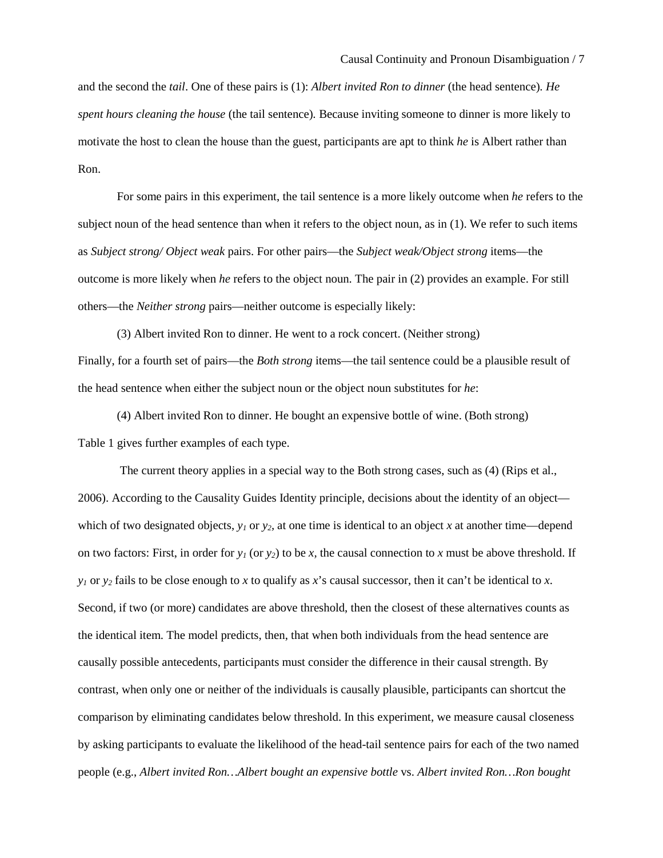and the second the *tail*. One of these pairs is (1): *Albert invited Ron to dinner* (the head sentence)*. He spent hours cleaning the house* (the tail sentence)*.* Because inviting someone to dinner is more likely to motivate the host to clean the house than the guest, participants are apt to think *he* is Albert rather than Ron.

For some pairs in this experiment, the tail sentence is a more likely outcome when *he* refers to the subject noun of the head sentence than when it refers to the object noun, as in (1). We refer to such items as *Subject strong/ Object weak* pairs. For other pairs—the *Subject weak/Object strong* items—the outcome is more likely when *he* refers to the object noun. The pair in (2) provides an example. For still others—the *Neither strong* pairs—neither outcome is especially likely:

(3) Albert invited Ron to dinner. He went to a rock concert. (Neither strong) Finally, for a fourth set of pairs—the *Both strong* items—the tail sentence could be a plausible result of the head sentence when either the subject noun or the object noun substitutes for *he*:

(4) Albert invited Ron to dinner. He bought an expensive bottle of wine. (Both strong) Table 1 gives further examples of each type.

The current theory applies in a special way to the Both strong cases, such as (4) (Rips et al., 2006). According to the Causality Guides Identity principle, decisions about the identity of an object which of two designated objects,  $y_1$  or  $y_2$ , at one time is identical to an object *x* at another time—depend on two factors: First, in order for  $y_1$  (or  $y_2$ ) to be x, the causal connection to x must be above threshold. If  $y_1$  or  $y_2$  fails to be close enough to *x* to qualify as *x*'s causal successor, then it can't be identical to *x*. Second, if two (or more) candidates are above threshold, then the closest of these alternatives counts as the identical item. The model predicts, then, that when both individuals from the head sentence are causally possible antecedents, participants must consider the difference in their causal strength. By contrast, when only one or neither of the individuals is causally plausible, participants can shortcut the comparison by eliminating candidates below threshold. In this experiment, we measure causal closeness by asking participants to evaluate the likelihood of the head-tail sentence pairs for each of the two named people (e.g., *Albert invited Ron…Albert bought an expensive bottle* vs. *Albert invited Ron…Ron bought*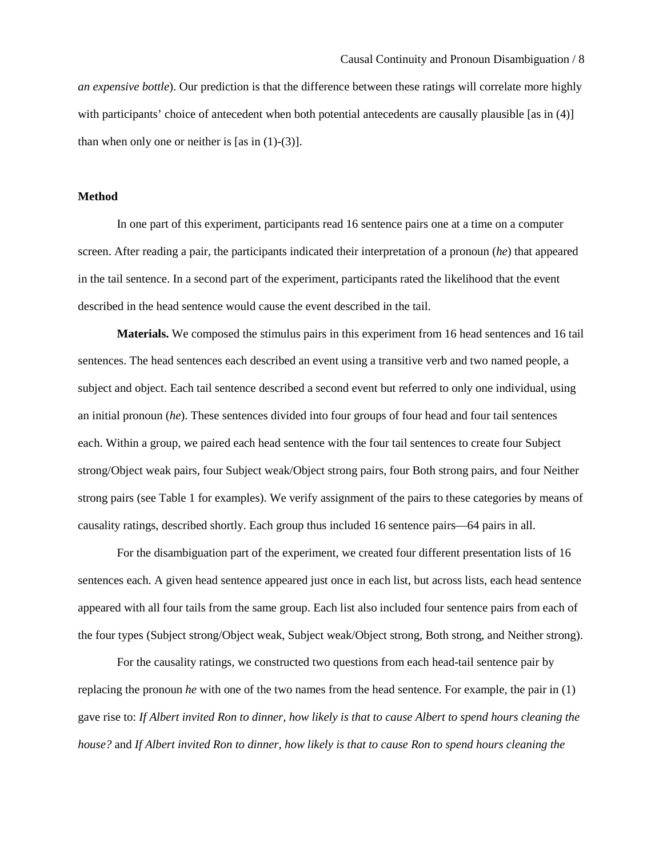*an expensive bottle*). Our prediction is that the difference between these ratings will correlate more highly with participants' choice of antecedent when both potential antecedents are causally plausible [as in (4)] than when only one or neither is  $[as in (1)-(3)].$ 

#### **Method**

In one part of this experiment, participants read 16 sentence pairs one at a time on a computer screen. After reading a pair, the participants indicated their interpretation of a pronoun (*he*) that appeared in the tail sentence. In a second part of the experiment, participants rated the likelihood that the event described in the head sentence would cause the event described in the tail.

**Materials.** We composed the stimulus pairs in this experiment from 16 head sentences and 16 tail sentences. The head sentences each described an event using a transitive verb and two named people, a subject and object. Each tail sentence described a second event but referred to only one individual, using an initial pronoun (*he*). These sentences divided into four groups of four head and four tail sentences each. Within a group, we paired each head sentence with the four tail sentences to create four Subject strong/Object weak pairs, four Subject weak/Object strong pairs, four Both strong pairs, and four Neither strong pairs (see Table 1 for examples). We verify assignment of the pairs to these categories by means of causality ratings, described shortly. Each group thus included 16 sentence pairs—64 pairs in all.

For the disambiguation part of the experiment, we created four different presentation lists of 16 sentences each. A given head sentence appeared just once in each list, but across lists, each head sentence appeared with all four tails from the same group. Each list also included four sentence pairs from each of the four types (Subject strong/Object weak, Subject weak/Object strong, Both strong, and Neither strong).

For the causality ratings, we constructed two questions from each head-tail sentence pair by replacing the pronoun *he* with one of the two names from the head sentence. For example, the pair in (1) gave rise to: *If Albert invited Ron to dinner, how likely is that to cause Albert to spend hours cleaning the house?* and *If Albert invited Ron to dinner, how likely is that to cause Ron to spend hours cleaning the*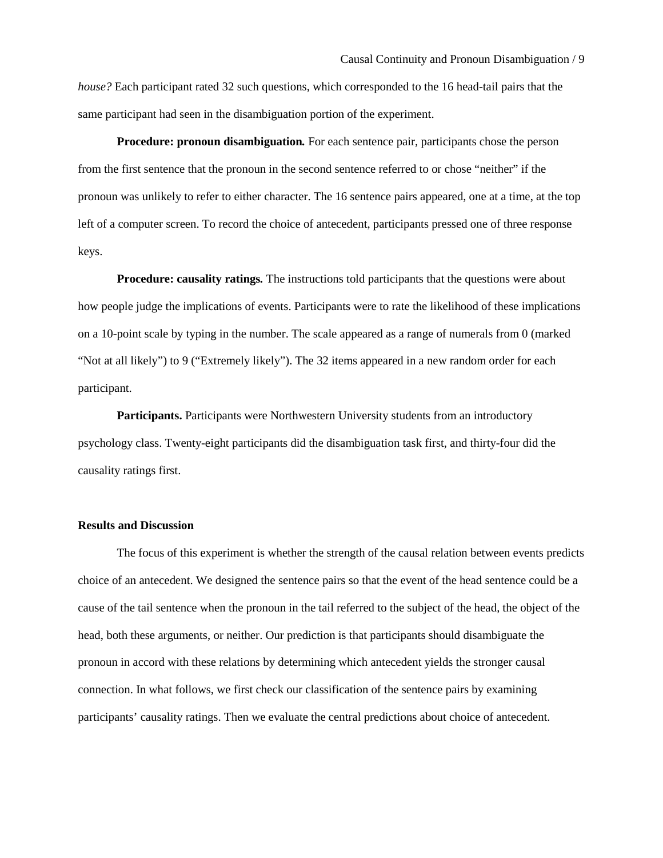*house?* Each participant rated 32 such questions, which corresponded to the 16 head-tail pairs that the same participant had seen in the disambiguation portion of the experiment.

**Procedure: pronoun disambiguation***.* For each sentence pair, participants chose the person from the first sentence that the pronoun in the second sentence referred to or chose "neither" if the pronoun was unlikely to refer to either character. The 16 sentence pairs appeared, one at a time, at the top left of a computer screen. To record the choice of antecedent, participants pressed one of three response keys.

**Procedure: causality ratings***.* The instructions told participants that the questions were about how people judge the implications of events. Participants were to rate the likelihood of these implications on a 10-point scale by typing in the number. The scale appeared as a range of numerals from 0 (marked "Not at all likely") to 9 ("Extremely likely"). The 32 items appeared in a new random order for each participant.

**Participants.** Participants were Northwestern University students from an introductory psychology class. Twenty-eight participants did the disambiguation task first, and thirty-four did the causality ratings first.

#### **Results and Discussion**

The focus of this experiment is whether the strength of the causal relation between events predicts choice of an antecedent. We designed the sentence pairs so that the event of the head sentence could be a cause of the tail sentence when the pronoun in the tail referred to the subject of the head, the object of the head, both these arguments, or neither. Our prediction is that participants should disambiguate the pronoun in accord with these relations by determining which antecedent yields the stronger causal connection. In what follows, we first check our classification of the sentence pairs by examining participants' causality ratings. Then we evaluate the central predictions about choice of antecedent.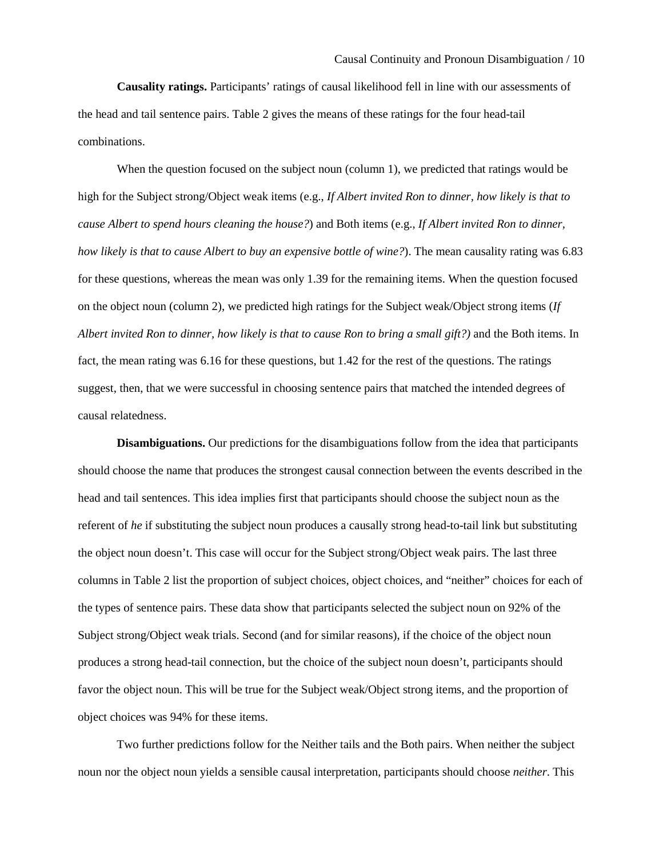**Causality ratings.** Participants' ratings of causal likelihood fell in line with our assessments of the head and tail sentence pairs. Table 2 gives the means of these ratings for the four head-tail combinations.

When the question focused on the subject noun (column 1), we predicted that ratings would be high for the Subject strong/Object weak items (e.g., *If Albert invited Ron to dinner, how likely is that to cause Albert to spend hours cleaning the house?*) and Both items (e.g., *If Albert invited Ron to dinner, how likely is that to cause Albert to buy an expensive bottle of wine?*). The mean causality rating was 6.83 for these questions, whereas the mean was only 1.39 for the remaining items. When the question focused on the object noun (column 2), we predicted high ratings for the Subject weak/Object strong items (*If Albert invited Ron to dinner, how likely is that to cause Ron to bring a small gift?)* and the Both items. In fact, the mean rating was 6.16 for these questions, but 1.42 for the rest of the questions. The ratings suggest, then, that we were successful in choosing sentence pairs that matched the intended degrees of causal relatedness.

**Disambiguations.** Our predictions for the disambiguations follow from the idea that participants should choose the name that produces the strongest causal connection between the events described in the head and tail sentences. This idea implies first that participants should choose the subject noun as the referent of *he* if substituting the subject noun produces a causally strong head-to-tail link but substituting the object noun doesn't. This case will occur for the Subject strong/Object weak pairs. The last three columns in Table 2 list the proportion of subject choices, object choices, and "neither" choices for each of the types of sentence pairs. These data show that participants selected the subject noun on 92% of the Subject strong/Object weak trials. Second (and for similar reasons), if the choice of the object noun produces a strong head-tail connection, but the choice of the subject noun doesn't, participants should favor the object noun. This will be true for the Subject weak/Object strong items, and the proportion of object choices was 94% for these items.

Two further predictions follow for the Neither tails and the Both pairs. When neither the subject noun nor the object noun yields a sensible causal interpretation, participants should choose *neither*. This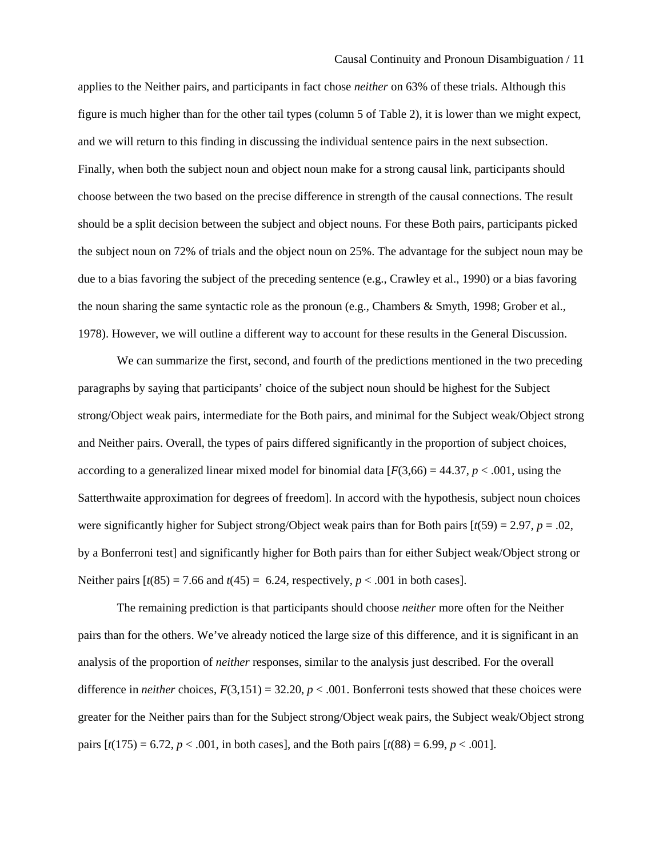applies to the Neither pairs, and participants in fact chose *neither* on 63% of these trials. Although this figure is much higher than for the other tail types (column 5 of Table 2), it is lower than we might expect, and we will return to this finding in discussing the individual sentence pairs in the next subsection. Finally, when both the subject noun and object noun make for a strong causal link, participants should choose between the two based on the precise difference in strength of the causal connections. The result should be a split decision between the subject and object nouns. For these Both pairs, participants picked the subject noun on 72% of trials and the object noun on 25%. The advantage for the subject noun may be due to a bias favoring the subject of the preceding sentence (e.g., Crawley et al., 1990) or a bias favoring the noun sharing the same syntactic role as the pronoun (e.g., Chambers & Smyth, 1998; Grober et al., 1978). However, we will outline a different way to account for these results in the General Discussion.

We can summarize the first, second, and fourth of the predictions mentioned in the two preceding paragraphs by saying that participants' choice of the subject noun should be highest for the Subject strong/Object weak pairs, intermediate for the Both pairs, and minimal for the Subject weak/Object strong and Neither pairs. Overall, the types of pairs differed significantly in the proportion of subject choices, according to a generalized linear mixed model for binomial data  $[F(3,66) = 44.37, p < .001,$  using the Satterthwaite approximation for degrees of freedom]. In accord with the hypothesis, subject noun choices were significantly higher for Subject strong/Object weak pairs than for Both pairs  $[t(59) = 2.97, p = .02,$ by a Bonferroni test] and significantly higher for Both pairs than for either Subject weak/Object strong or Neither pairs  $[t(85) = 7.66$  and  $t(45) = 6.24$ , respectively,  $p < .001$  in both cases].

The remaining prediction is that participants should choose *neither* more often for the Neither pairs than for the others. We've already noticed the large size of this difference, and it is significant in an analysis of the proportion of *neither* responses, similar to the analysis just described. For the overall difference in *neither* choices,  $F(3,151) = 32.20, p < .001$ . Bonferroni tests showed that these choices were greater for the Neither pairs than for the Subject strong/Object weak pairs, the Subject weak/Object strong pairs  $[t(175) = 6.72, p < .001$ , in both cases], and the Both pairs  $[t(88) = 6.99, p < .001]$ .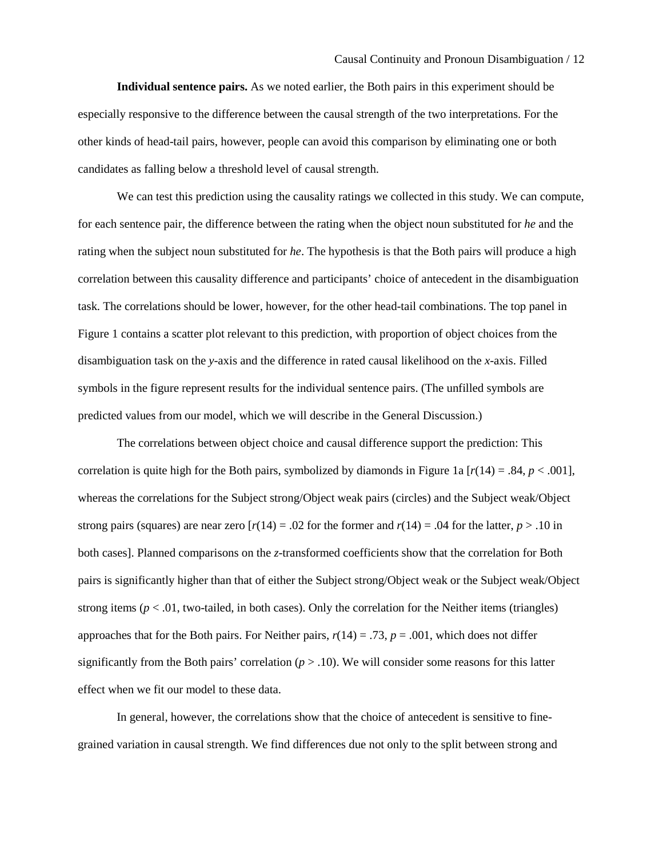**Individual sentence pairs.** As we noted earlier, the Both pairs in this experiment should be especially responsive to the difference between the causal strength of the two interpretations. For the other kinds of head-tail pairs, however, people can avoid this comparison by eliminating one or both candidates as falling below a threshold level of causal strength.

We can test this prediction using the causality ratings we collected in this study. We can compute, for each sentence pair, the difference between the rating when the object noun substituted for *he* and the rating when the subject noun substituted for *he*. The hypothesis is that the Both pairs will produce a high correlation between this causality difference and participants' choice of antecedent in the disambiguation task. The correlations should be lower, however, for the other head-tail combinations. The top panel in Figure 1 contains a scatter plot relevant to this prediction, with proportion of object choices from the disambiguation task on the *y*-axis and the difference in rated causal likelihood on the *x*-axis. Filled symbols in the figure represent results for the individual sentence pairs. (The unfilled symbols are predicted values from our model, which we will describe in the General Discussion.)

The correlations between object choice and causal difference support the prediction: This correlation is quite high for the Both pairs, symbolized by diamonds in Figure 1a  $[r(14) = .84, p < .001]$ , whereas the correlations for the Subject strong/Object weak pairs (circles) and the Subject weak/Object strong pairs (squares) are near zero  $[r(14) = .02$  for the former and  $r(14) = .04$  for the latter,  $p > .10$  in both cases]. Planned comparisons on the *z*-transformed coefficients show that the correlation for Both pairs is significantly higher than that of either the Subject strong/Object weak or the Subject weak/Object strong items ( $p < .01$ , two-tailed, in both cases). Only the correlation for the Neither items (triangles) approaches that for the Both pairs. For Neither pairs,  $r(14) = .73$ ,  $p = .001$ , which does not differ significantly from the Both pairs' correlation  $(p > .10)$ . We will consider some reasons for this latter effect when we fit our model to these data.

In general, however, the correlations show that the choice of antecedent is sensitive to finegrained variation in causal strength. We find differences due not only to the split between strong and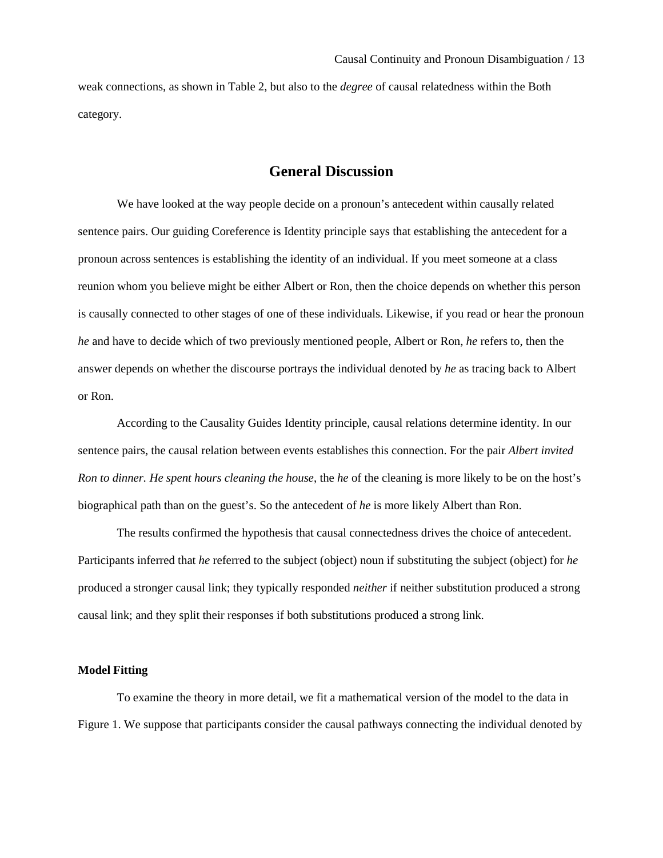weak connections, as shown in Table 2, but also to the *degree* of causal relatedness within the Both category.

### **General Discussion**

We have looked at the way people decide on a pronoun's antecedent within causally related sentence pairs. Our guiding Coreference is Identity principle says that establishing the antecedent for a pronoun across sentences is establishing the identity of an individual. If you meet someone at a class reunion whom you believe might be either Albert or Ron, then the choice depends on whether this person is causally connected to other stages of one of these individuals. Likewise, if you read or hear the pronoun *he* and have to decide which of two previously mentioned people, Albert or Ron, *he* refers to, then the answer depends on whether the discourse portrays the individual denoted by *he* as tracing back to Albert or Ron.

According to the Causality Guides Identity principle, causal relations determine identity. In our sentence pairs, the causal relation between events establishes this connection. For the pair *Albert invited Ron to dinner. He spent hours cleaning the house*, the *he* of the cleaning is more likely to be on the host's biographical path than on the guest's. So the antecedent of *he* is more likely Albert than Ron.

The results confirmed the hypothesis that causal connectedness drives the choice of antecedent. Participants inferred that *he* referred to the subject (object) noun if substituting the subject (object) for *he* produced a stronger causal link; they typically responded *neither* if neither substitution produced a strong causal link; and they split their responses if both substitutions produced a strong link.

#### **Model Fitting**

To examine the theory in more detail, we fit a mathematical version of the model to the data in Figure 1. We suppose that participants consider the causal pathways connecting the individual denoted by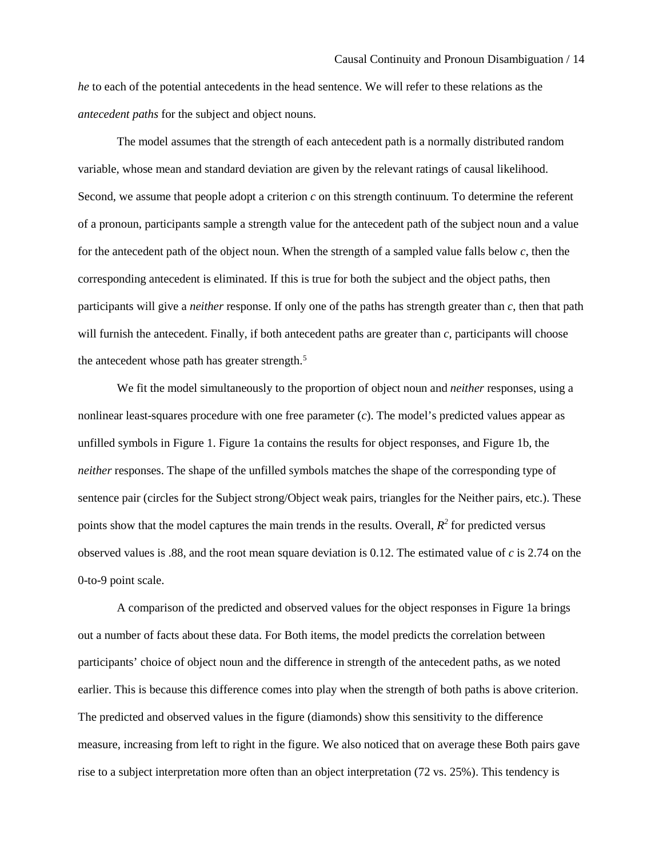*he* to each of the potential antecedents in the head sentence. We will refer to these relations as the *antecedent paths* for the subject and object nouns.

The model assumes that the strength of each antecedent path is a normally distributed random variable, whose mean and standard deviation are given by the relevant ratings of causal likelihood. Second, we assume that people adopt a criterion *c* on this strength continuum. To determine the referent of a pronoun, participants sample a strength value for the antecedent path of the subject noun and a value for the antecedent path of the object noun. When the strength of a sampled value falls below *c*, then the corresponding antecedent is eliminated. If this is true for both the subject and the object paths, then participants will give a *neither* response. If only one of the paths has strength greater than *c*, then that path will furnish the antecedent. Finally, if both antecedent paths are greater than *c*, participants will choose the antecedent whose path has greater strength.<sup>[5](#page-22-0)</sup>

We fit the model simultaneously to the proportion of object noun and *neither* responses, using a nonlinear least-squares procedure with one free parameter (*c*). The model's predicted values appear as unfilled symbols in Figure 1. Figure 1a contains the results for object responses, and Figure 1b, the *neither* responses. The shape of the unfilled symbols matches the shape of the corresponding type of sentence pair (circles for the Subject strong/Object weak pairs, triangles for the Neither pairs, etc.). These points show that the model captures the main trends in the results. Overall,  $R^2$  for predicted versus observed values is .88, and the root mean square deviation is 0.12. The estimated value of *c* is 2.74 on the 0-to-9 point scale.

A comparison of the predicted and observed values for the object responses in Figure 1a brings out a number of facts about these data. For Both items, the model predicts the correlation between participants' choice of object noun and the difference in strength of the antecedent paths, as we noted earlier. This is because this difference comes into play when the strength of both paths is above criterion. The predicted and observed values in the figure (diamonds) show this sensitivity to the difference measure, increasing from left to right in the figure. We also noticed that on average these Both pairs gave rise to a subject interpretation more often than an object interpretation (72 vs. 25%). This tendency is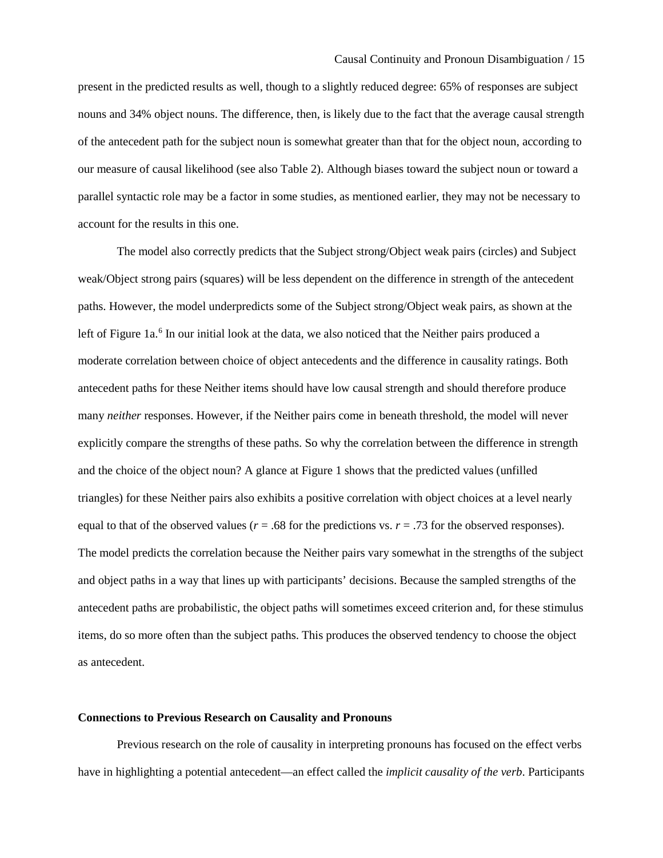present in the predicted results as well, though to a slightly reduced degree: 65% of responses are subject nouns and 34% object nouns. The difference, then, is likely due to the fact that the average causal strength of the antecedent path for the subject noun is somewhat greater than that for the object noun, according to our measure of causal likelihood (see also Table 2). Although biases toward the subject noun or toward a parallel syntactic role may be a factor in some studies, as mentioned earlier, they may not be necessary to account for the results in this one.

The model also correctly predicts that the Subject strong/Object weak pairs (circles) and Subject weak/Object strong pairs (squares) will be less dependent on the difference in strength of the antecedent paths. However, the model underpredicts some of the Subject strong/Object weak pairs, as shown at the left of Figure 1a.<sup>[6](#page-23-0)</sup> In our initial look at the data, we also noticed that the Neither pairs produced a moderate correlation between choice of object antecedents and the difference in causality ratings. Both antecedent paths for these Neither items should have low causal strength and should therefore produce many *neither* responses. However, if the Neither pairs come in beneath threshold, the model will never explicitly compare the strengths of these paths. So why the correlation between the difference in strength and the choice of the object noun? A glance at Figure 1 shows that the predicted values (unfilled triangles) for these Neither pairs also exhibits a positive correlation with object choices at a level nearly equal to that of the observed values ( $r = .68$  for the predictions vs.  $r = .73$  for the observed responses). The model predicts the correlation because the Neither pairs vary somewhat in the strengths of the subject and object paths in a way that lines up with participants' decisions. Because the sampled strengths of the antecedent paths are probabilistic, the object paths will sometimes exceed criterion and, for these stimulus items, do so more often than the subject paths. This produces the observed tendency to choose the object as antecedent.

#### **Connections to Previous Research on Causality and Pronouns**

Previous research on the role of causality in interpreting pronouns has focused on the effect verbs have in highlighting a potential antecedent—an effect called the *implicit causality of the verb*. Participants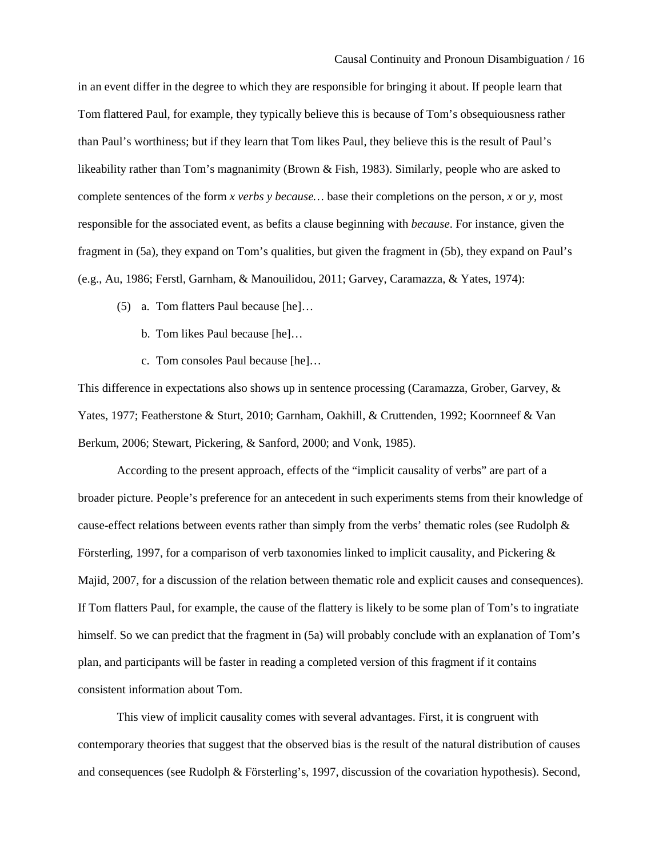in an event differ in the degree to which they are responsible for bringing it about. If people learn that Tom flattered Paul, for example, they typically believe this is because of Tom's obsequiousness rather than Paul's worthiness; but if they learn that Tom likes Paul, they believe this is the result of Paul's likeability rather than Tom's magnanimity (Brown & Fish, 1983). Similarly, people who are asked to complete sentences of the form *x verbs y because…* base their completions on the person, *x* or *y,* most responsible for the associated event, as befits a clause beginning with *because*. For instance, given the fragment in (5a), they expand on Tom's qualities, but given the fragment in (5b), they expand on Paul's (e.g., Au, 1986; Ferstl, Garnham, & Manouilidou, 2011; Garvey, Caramazza, & Yates, 1974):

- (5) a. Tom flatters Paul because [he]…
	- b. Tom likes Paul because [he]…
	- c. Tom consoles Paul because [he]…

This difference in expectations also shows up in sentence processing (Caramazza, Grober, Garvey, & Yates, 1977; Featherstone & Sturt, 2010; Garnham, Oakhill, & Cruttenden, 1992; Koornneef & Van Berkum, 2006; Stewart, Pickering, & Sanford, 2000; and Vonk, 1985).

According to the present approach, effects of the "implicit causality of verbs" are part of a broader picture. People's preference for an antecedent in such experiments stems from their knowledge of cause-effect relations between events rather than simply from the verbs' thematic roles (see Rudolph & Försterling, 1997, for a comparison of verb taxonomies linked to implicit causality, and Pickering & Majid, 2007, for a discussion of the relation between thematic role and explicit causes and consequences). If Tom flatters Paul, for example, the cause of the flattery is likely to be some plan of Tom's to ingratiate himself. So we can predict that the fragment in (5a) will probably conclude with an explanation of Tom's plan, and participants will be faster in reading a completed version of this fragment if it contains consistent information about Tom.

This view of implicit causality comes with several advantages. First, it is congruent with contemporary theories that suggest that the observed bias is the result of the natural distribution of causes and consequences (see Rudolph & Försterling's, 1997, discussion of the covariation hypothesis). Second,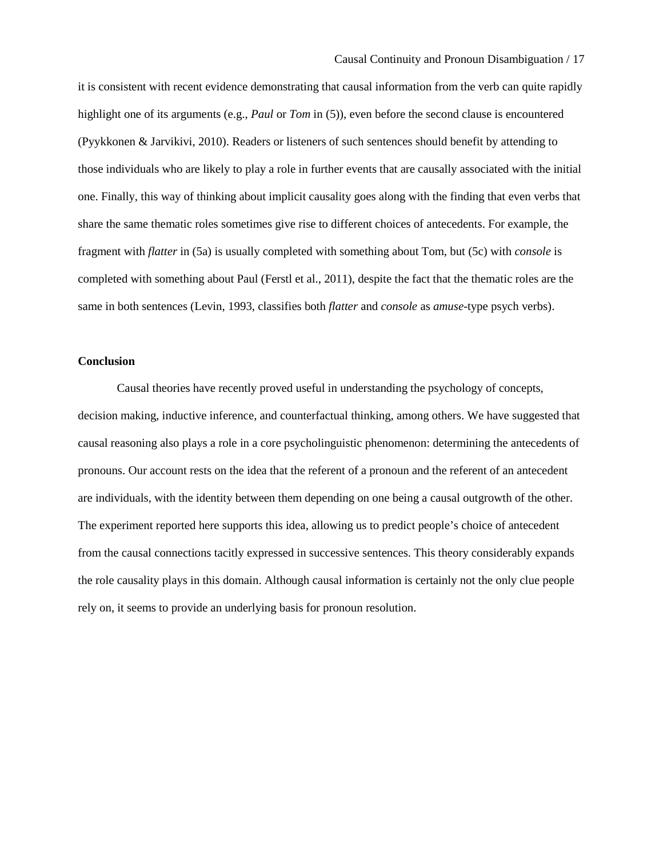it is consistent with recent evidence demonstrating that causal information from the verb can quite rapidly highlight one of its arguments (e.g., *Paul* or *Tom* in (5)), even before the second clause is encountered (Pyykkonen & Jarvikivi, 2010). Readers or listeners of such sentences should benefit by attending to those individuals who are likely to play a role in further events that are causally associated with the initial one. Finally, this way of thinking about implicit causality goes along with the finding that even verbs that share the same thematic roles sometimes give rise to different choices of antecedents. For example, the fragment with *flatter* in (5a) is usually completed with something about Tom, but (5c) with *console* is completed with something about Paul (Ferstl et al., 2011), despite the fact that the thematic roles are the same in both sentences (Levin, 1993, classifies both *flatter* and *console* as *amuse*-type psych verbs).

#### **Conclusion**

Causal theories have recently proved useful in understanding the psychology of concepts, decision making, inductive inference, and counterfactual thinking, among others. We have suggested that causal reasoning also plays a role in a core psycholinguistic phenomenon: determining the antecedents of pronouns. Our account rests on the idea that the referent of a pronoun and the referent of an antecedent are individuals, with the identity between them depending on one being a causal outgrowth of the other. The experiment reported here supports this idea, allowing us to predict people's choice of antecedent from the causal connections tacitly expressed in successive sentences. This theory considerably expands the role causality plays in this domain. Although causal information is certainly not the only clue people rely on, it seems to provide an underlying basis for pronoun resolution.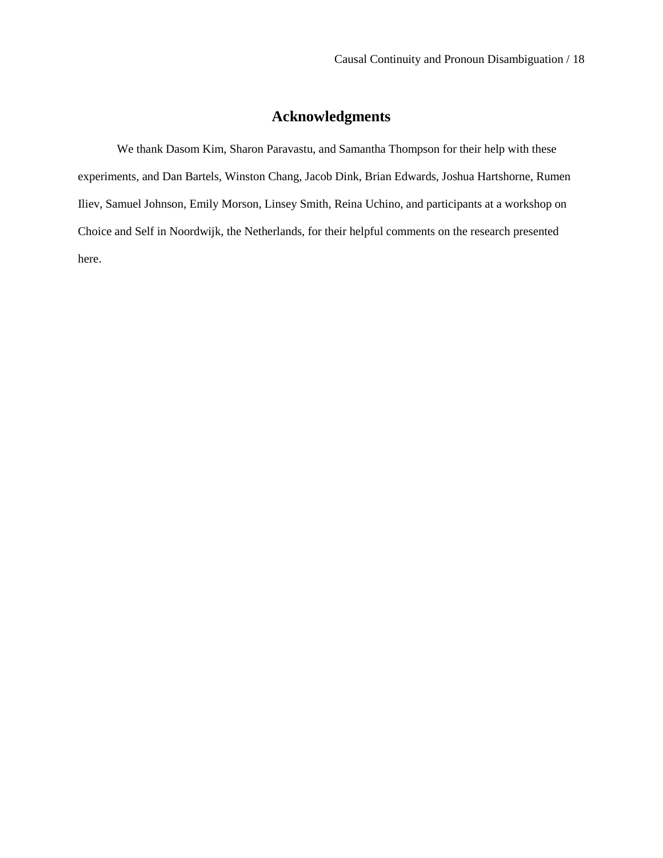## **Acknowledgments**

We thank Dasom Kim, Sharon Paravastu, and Samantha Thompson for their help with these experiments, and Dan Bartels, Winston Chang, Jacob Dink, Brian Edwards, Joshua Hartshorne, Rumen Iliev, Samuel Johnson, Emily Morson, Linsey Smith, Reina Uchino, and participants at a workshop on Choice and Self in Noordwijk, the Netherlands, for their helpful comments on the research presented here.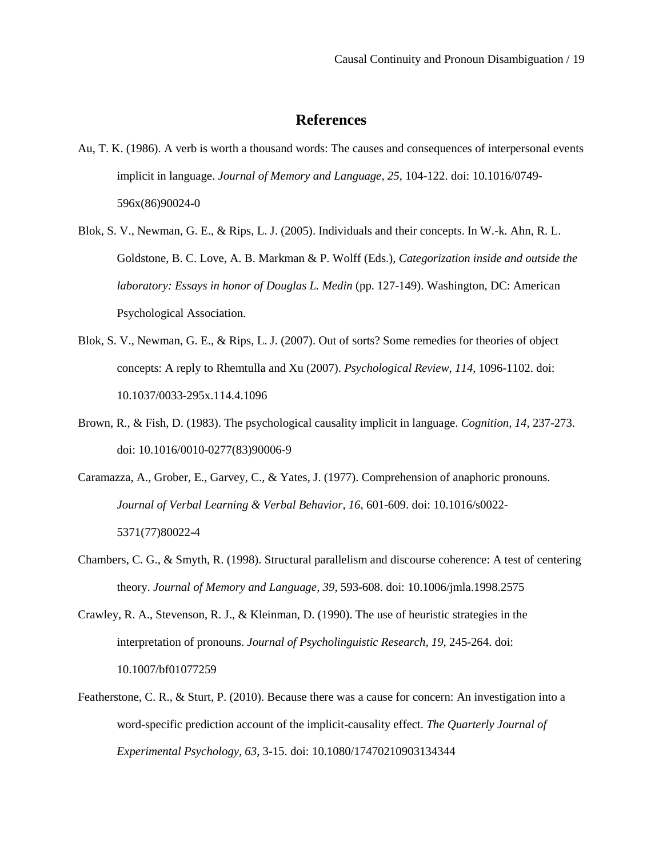## **References**

- Au, T. K. (1986). A verb is worth a thousand words: The causes and consequences of interpersonal events implicit in language. *Journal of Memory and Language, 25*, 104-122. doi: 10.1016/0749- 596x(86)90024-0
- Blok, S. V., Newman, G. E., & Rips, L. J. (2005). Individuals and their concepts. In W.-k. Ahn, R. L. Goldstone, B. C. Love, A. B. Markman & P. Wolff (Eds.), *Categorization inside and outside the laboratory: Essays in honor of Douglas L. Medin* (pp. 127-149). Washington, DC: American Psychological Association.
- Blok, S. V., Newman, G. E., & Rips, L. J. (2007). Out of sorts? Some remedies for theories of object concepts: A reply to Rhemtulla and Xu (2007). *Psychological Review, 114*, 1096-1102. doi: 10.1037/0033-295x.114.4.1096
- Brown, R., & Fish, D. (1983). The psychological causality implicit in language. *Cognition, 14*, 237-273. doi: 10.1016/0010-0277(83)90006-9
- Caramazza, A., Grober, E., Garvey, C., & Yates, J. (1977). Comprehension of anaphoric pronouns. *Journal of Verbal Learning & Verbal Behavior, 16*, 601-609. doi: 10.1016/s0022- 5371(77)80022-4
- Chambers, C. G., & Smyth, R. (1998). Structural parallelism and discourse coherence: A test of centering theory. *Journal of Memory and Language, 39*, 593-608. doi: 10.1006/jmla.1998.2575
- Crawley, R. A., Stevenson, R. J., & Kleinman, D. (1990). The use of heuristic strategies in the interpretation of pronouns. *Journal of Psycholinguistic Research, 19*, 245-264. doi: 10.1007/bf01077259
- Featherstone, C. R., & Sturt, P. (2010). Because there was a cause for concern: An investigation into a word-specific prediction account of the implicit-causality effect. *The Quarterly Journal of Experimental Psychology, 63*, 3-15. doi: 10.1080/17470210903134344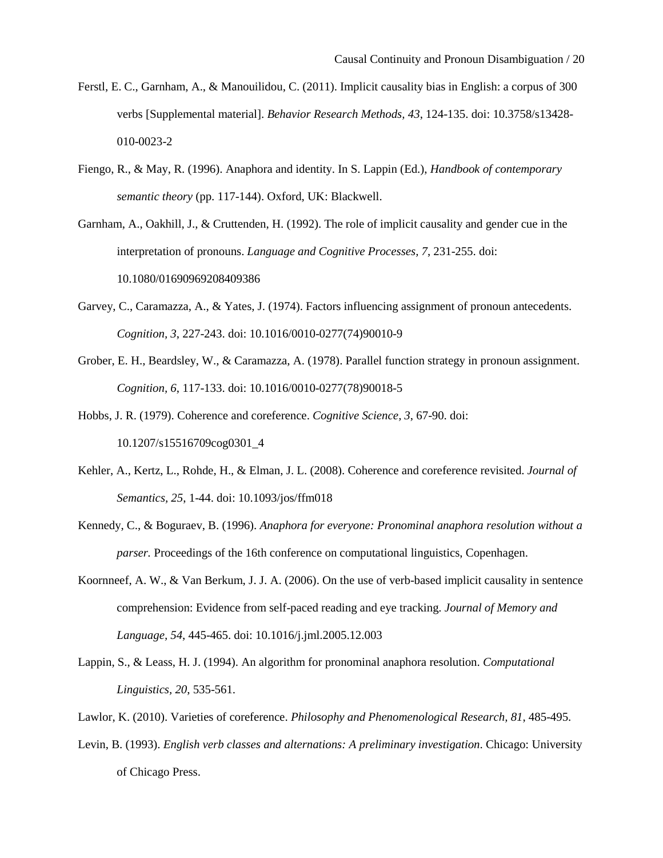- Ferstl, E. C., Garnham, A., & Manouilidou, C. (2011). Implicit causality bias in English: a corpus of 300 verbs [Supplemental material]. *Behavior Research Methods, 43*, 124-135. doi: 10.3758/s13428- 010-0023-2
- Fiengo, R., & May, R. (1996). Anaphora and identity. In S. Lappin (Ed.), *Handbook of contemporary semantic theory* (pp. 117-144). Oxford, UK: Blackwell.
- Garnham, A., Oakhill, J., & Cruttenden, H. (1992). The role of implicit causality and gender cue in the interpretation of pronouns. *Language and Cognitive Processes, 7*, 231-255. doi: 10.1080/01690969208409386
- Garvey, C., Caramazza, A., & Yates, J. (1974). Factors influencing assignment of pronoun antecedents. *Cognition, 3*, 227-243. doi: 10.1016/0010-0277(74)90010-9
- Grober, E. H., Beardsley, W., & Caramazza, A. (1978). Parallel function strategy in pronoun assignment. *Cognition, 6*, 117-133. doi: 10.1016/0010-0277(78)90018-5
- Hobbs, J. R. (1979). Coherence and coreference. *Cognitive Science, 3*, 67-90. doi: 10.1207/s15516709cog0301\_4
- Kehler, A., Kertz, L., Rohde, H., & Elman, J. L. (2008). Coherence and coreference revisited. *Journal of Semantics, 25*, 1-44. doi: 10.1093/jos/ffm018
- Kennedy, C., & Boguraev, B. (1996). *Anaphora for everyone: Pronominal anaphora resolution without a parser.* Proceedings of the 16th conference on computational linguistics, Copenhagen.
- Koornneef, A. W., & Van Berkum, J. J. A. (2006). On the use of verb-based implicit causality in sentence comprehension: Evidence from self-paced reading and eye tracking. *Journal of Memory and Language, 54*, 445-465. doi: 10.1016/j.jml.2005.12.003
- Lappin, S., & Leass, H. J. (1994). An algorithm for pronominal anaphora resolution. *Computational Linguistics, 20*, 535-561.
- Lawlor, K. (2010). Varieties of coreference. *Philosophy and Phenomenological Research, 81*, 485-495.
- Levin, B. (1993). *English verb classes and alternations: A preliminary investigation*. Chicago: University of Chicago Press.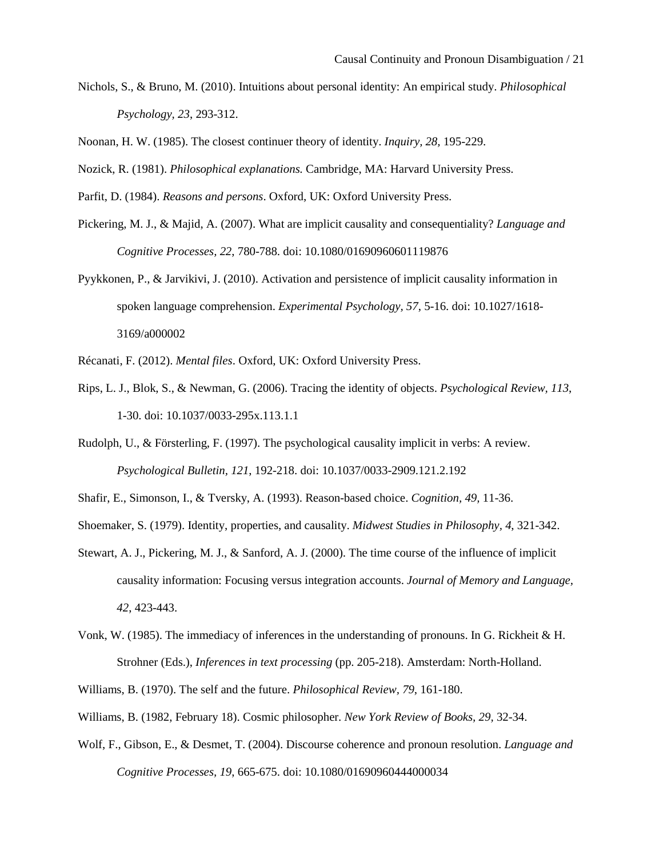- Nichols, S., & Bruno, M. (2010). Intuitions about personal identity: An empirical study. *Philosophical Psychology, 23*, 293-312.
- Noonan, H. W. (1985). The closest continuer theory of identity. *Inquiry, 28,* 195-229.
- Nozick, R. (1981). *Philosophical explanations.* Cambridge, MA: Harvard University Press.
- Parfit, D. (1984). *Reasons and persons*. Oxford, UK: Oxford University Press.
- Pickering, M. J., & Majid, A. (2007). What are implicit causality and consequentiality? *Language and Cognitive Processes, 22*, 780-788. doi: 10.1080/01690960601119876
- Pyykkonen, P., & Jarvikivi, J. (2010). Activation and persistence of implicit causality information in spoken language comprehension. *Experimental Psychology, 57*, 5-16. doi: 10.1027/1618- 3169/a000002
- Récanati, F. (2012). *Mental files*. Oxford, UK: Oxford University Press.
- Rips, L. J., Blok, S., & Newman, G. (2006). Tracing the identity of objects. *Psychological Review, 113*, 1-30. doi: 10.1037/0033-295x.113.1.1
- Rudolph, U., & Försterling, F. (1997). The psychological causality implicit in verbs: A review. *Psychological Bulletin, 121*, 192-218. doi: 10.1037/0033-2909.121.2.192
- Shafir, E., Simonson, I., & Tversky, A. (1993). Reason-based choice. *Cognition, 49,* 11-36.
- Shoemaker, S. (1979). Identity, properties, and causality. *Midwest Studies in Philosophy, 4*, 321-342.
- Stewart, A. J., Pickering, M. J., & Sanford, A. J. (2000). The time course of the influence of implicit causality information: Focusing versus integration accounts. *Journal of Memory and Language, 42*, 423-443.
- Vonk, W. (1985). The immediacy of inferences in the understanding of pronouns. In G. Rickheit & H. Strohner (Eds.), *Inferences in text processing* (pp. 205-218). Amsterdam: North-Holland.
- Williams, B. (1970). The self and the future. *Philosophical Review, 79*, 161-180.
- Williams, B. (1982, February 18). Cosmic philosopher. *New York Review of Books, 29,* 32-34.
- Wolf, F., Gibson, E., & Desmet, T. (2004). Discourse coherence and pronoun resolution. *Language and Cognitive Processes, 19*, 665-675. doi: 10.1080/01690960444000034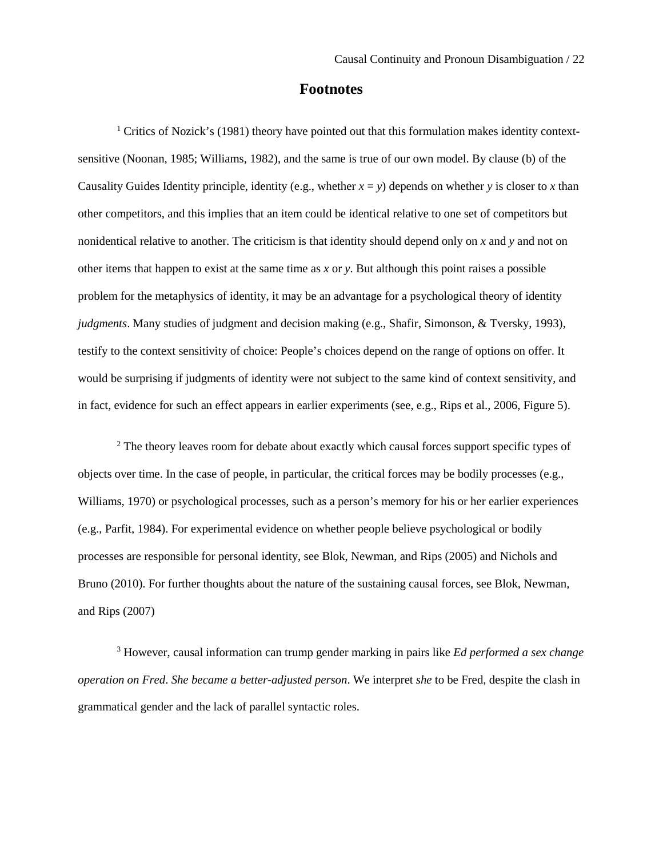### **Footnotes**

<span id="page-21-3"></span><span id="page-21-0"></span> $1$  Critics of Nozick's (1981) theory have pointed out that this formulation makes identity contextsensitive (Noonan, 1985; Williams, 1982), and the same is true of our own model. By clause (b) of the Causality Guides Identity principle, identity (e.g., whether  $x = y$ ) depends on whether y is closer to x than other competitors, and this implies that an item could be identical relative to one set of competitors but nonidentical relative to another. The criticism is that identity should depend only on *x* and *y* and not on other items that happen to exist at the same time as *x* or *y*. But although this point raises a possible problem for the metaphysics of identity, it may be an advantage for a psychological theory of identity *judgments*. Many studies of judgment and decision making (e.g., Shafir, Simonson, & Tversky, 1993), testify to the context sensitivity of choice: People's choices depend on the range of options on offer. It would be surprising if judgments of identity were not subject to the same kind of context sensitivity, and in fact, evidence for such an effect appears in earlier experiments (see, e.g., Rips et al., 2006, Figure 5).

<span id="page-21-1"></span><sup>2</sup> The theory leaves room for debate about exactly which causal forces support specific types of objects over time. In the case of people, in particular, the critical forces may be bodily processes (e.g., Williams, 1970) or psychological processes, such as a person's memory for his or her earlier experiences (e.g., Parfit, 1984). For experimental evidence on whether people believe psychological or bodily processes are responsible for personal identity, see Blok, Newman, and Rips (2005) and Nichols and Bruno (2010). For further thoughts about the nature of the sustaining causal forces, see Blok, Newman, and Rips (2007)

<span id="page-21-2"></span><sup>3</sup> However, causal information can trump gender marking in pairs like *Ed performed a sex change operation on Fred*. *She became a better-adjusted person*. We interpret *she* to be Fred, despite the clash in grammatical gender and the lack of parallel syntactic roles.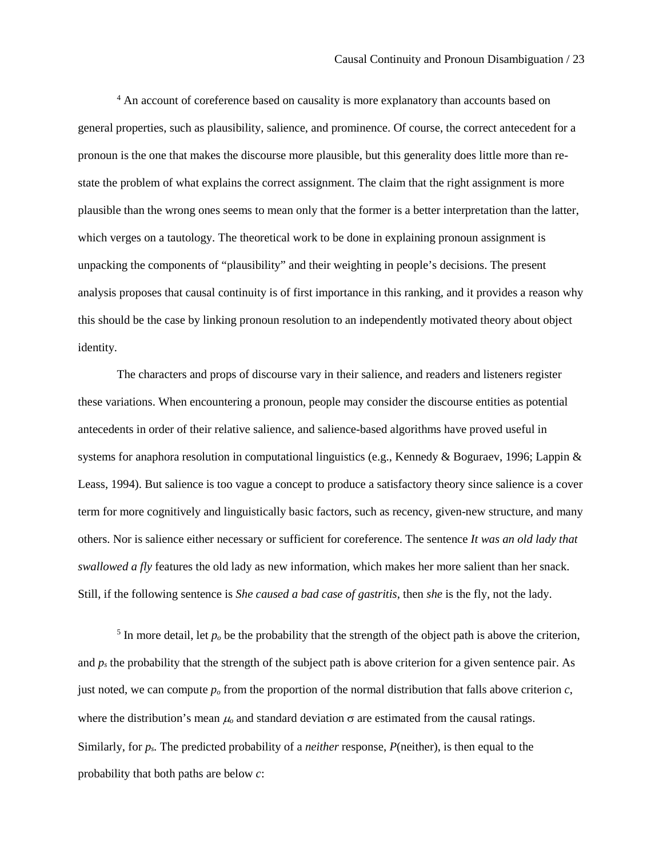<sup>4</sup> An account of coreference based on causality is more explanatory than accounts based on general properties, such as plausibility, salience, and prominence. Of course, the correct antecedent for a pronoun is the one that makes the discourse more plausible, but this generality does little more than restate the problem of what explains the correct assignment. The claim that the right assignment is more plausible than the wrong ones seems to mean only that the former is a better interpretation than the latter, which verges on a tautology. The theoretical work to be done in explaining pronoun assignment is unpacking the components of "plausibility" and their weighting in people's decisions. The present analysis proposes that causal continuity is of first importance in this ranking, and it provides a reason why this should be the case by linking pronoun resolution to an independently motivated theory about object identity.

The characters and props of discourse vary in their salience, and readers and listeners register these variations. When encountering a pronoun, people may consider the discourse entities as potential antecedents in order of their relative salience, and salience-based algorithms have proved useful in systems for anaphora resolution in computational linguistics (e.g., Kennedy & Boguraev, 1996; Lappin & Leass, 1994). But salience is too vague a concept to produce a satisfactory theory since salience is a cover term for more cognitively and linguistically basic factors, such as recency, given-new structure, and many others. Nor is salience either necessary or sufficient for coreference. The sentence *It was an old lady that swallowed a fly* features the old lady as new information, which makes her more salient than her snack. Still, if the following sentence is *She caused a bad case of gastritis*, then *she* is the fly, not the lady.

<span id="page-22-0"></span><sup>5</sup> In more detail, let  $p<sub>o</sub>$  be the probability that the strength of the object path is above the criterion, and  $p<sub>s</sub>$  the probability that the strength of the subject path is above criterion for a given sentence pair. As just noted, we can compute *po* from the proportion of the normal distribution that falls above criterion *c*, where the distribution's mean  $\mu_0$  and standard deviation  $\sigma$  are estimated from the causal ratings. Similarly, for *ps.* The predicted probability of a *neither* response, *P*(neither), is then equal to the probability that both paths are below *c*: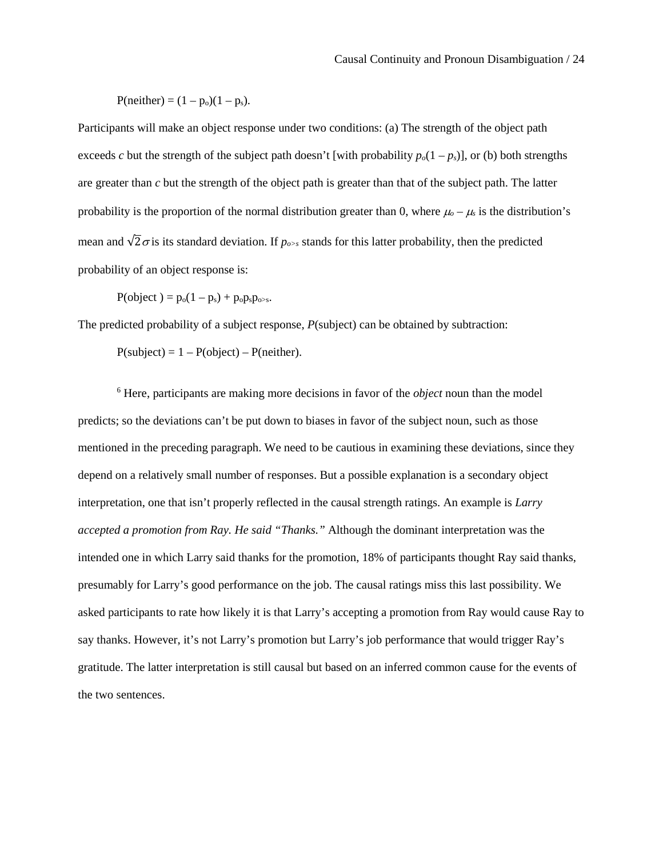### $P(\text{neither}) = (1 - p_0)(1 - p_s).$

Participants will make an object response under two conditions: (a) The strength of the object path exceeds *c* but the strength of the subject path doesn't [with probability  $p_o(1 - p_s)$ ], or (b) both strengths are greater than *c* but the strength of the object path is greater than that of the subject path. The latter probability is the proportion of the normal distribution greater than 0, where  $\mu_0 - \mu_s$  is the distribution's mean and  $\sqrt{2}\sigma$  is its standard deviation. If  $p_{\sigma>s}$  stands for this latter probability, then the predicted probability of an object response is:

 $P(\text{object}) = p_0(1 - p_s) + p_0 p_s p_{0 \geq s}.$ 

The predicted probability of a subject response, *P*(subject) can be obtained by subtraction:

 $P(subject) = 1 - P(object) - P(neither).$ 

<span id="page-23-0"></span><sup>6</sup> Here, participants are making more decisions in favor of the *object* noun than the model predicts; so the deviations can't be put down to biases in favor of the subject noun, such as those mentioned in the preceding paragraph. We need to be cautious in examining these deviations, since they depend on a relatively small number of responses. But a possible explanation is a secondary object interpretation, one that isn't properly reflected in the causal strength ratings. An example is *Larry accepted a promotion from Ray. He said "Thanks."* Although the dominant interpretation was the intended one in which Larry said thanks for the promotion, 18% of participants thought Ray said thanks, presumably for Larry's good performance on the job. The causal ratings miss this last possibility. We asked participants to rate how likely it is that Larry's accepting a promotion from Ray would cause Ray to say thanks. However, it's not Larry's promotion but Larry's job performance that would trigger Ray's gratitude. The latter interpretation is still causal but based on an inferred common cause for the events of the two sentences.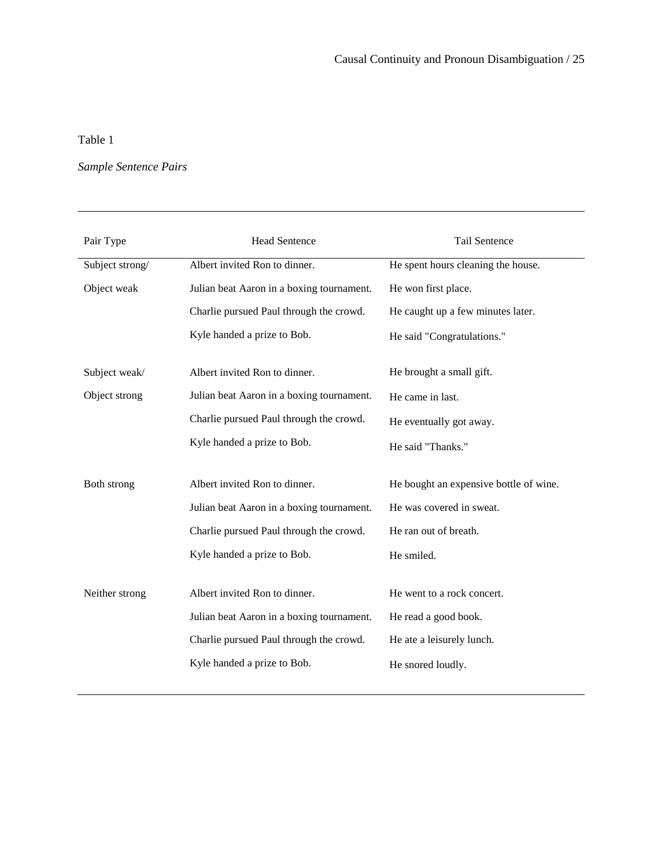## Table 1

# *Sample Sentence Pairs*

| Pair Type       | <b>Head Sentence</b>                      | <b>Tail Sentence</b>                   |  |
|-----------------|-------------------------------------------|----------------------------------------|--|
| Subject strong/ | Albert invited Ron to dinner.             | He spent hours cleaning the house.     |  |
| Object weak     | Julian beat Aaron in a boxing tournament. | He won first place.                    |  |
|                 | Charlie pursued Paul through the crowd.   | He caught up a few minutes later.      |  |
|                 | Kyle handed a prize to Bob.               | He said "Congratulations."             |  |
| Subject weak/   | Albert invited Ron to dinner.             | He brought a small gift.               |  |
| Object strong   | Julian beat Aaron in a boxing tournament. | He came in last.                       |  |
|                 | Charlie pursued Paul through the crowd.   | He eventually got away.                |  |
|                 | Kyle handed a prize to Bob.               | He said "Thanks."                      |  |
| Both strong     | Albert invited Ron to dinner.             | He bought an expensive bottle of wine. |  |
|                 | Julian beat Aaron in a boxing tournament. | He was covered in sweat.               |  |
|                 | Charlie pursued Paul through the crowd.   | He ran out of breath.                  |  |
|                 | Kyle handed a prize to Bob.               | He smiled.                             |  |
| Neither strong  | Albert invited Ron to dinner.             | He went to a rock concert.             |  |
|                 | Julian beat Aaron in a boxing tournament. | He read a good book.                   |  |
|                 | Charlie pursued Paul through the crowd.   | He ate a leisurely lunch.              |  |
|                 | Kyle handed a prize to Bob.               | He snored loudly.                      |  |
|                 |                                           |                                        |  |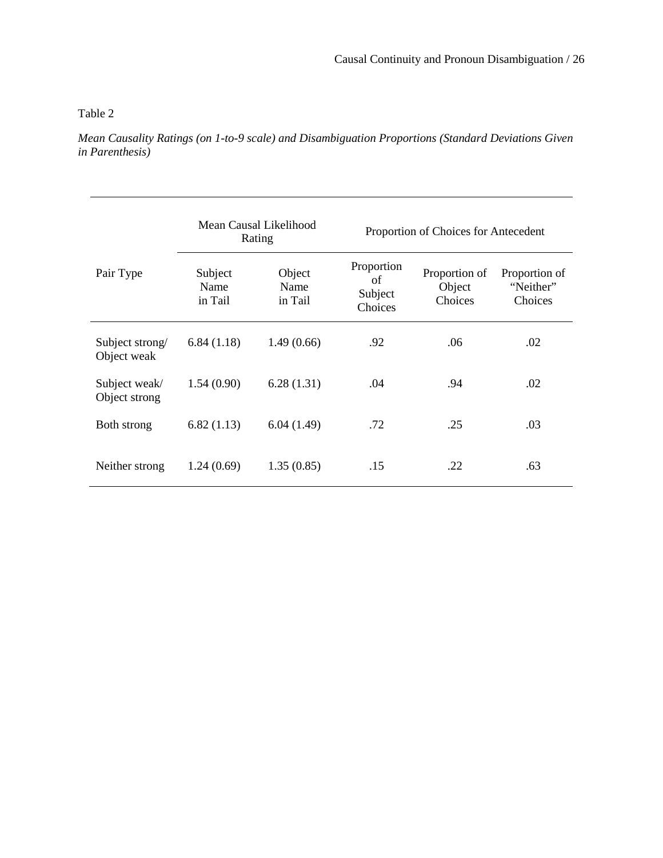### Table 2

*Mean Causality Ratings (on 1-to-9 scale) and Disambiguation Proportions (Standard Deviations Given in Parenthesis)*

|                                | Mean Causal Likelihood<br>Rating |                           | Proportion of Choices for Antecedent   |                                    |                                       |
|--------------------------------|----------------------------------|---------------------------|----------------------------------------|------------------------------------|---------------------------------------|
| Pair Type                      | Subject<br>Name<br>in Tail       | Object<br>Name<br>in Tail | Proportion<br>of<br>Subject<br>Choices | Proportion of<br>Object<br>Choices | Proportion of<br>"Neither"<br>Choices |
| Subject strong/<br>Object weak | 6.84(1.18)                       | 1.49(0.66)                | .92                                    | .06                                | .02                                   |
| Subject weak/<br>Object strong | 1.54(0.90)                       | 6.28(1.31)                | .04                                    | .94                                | .02                                   |
| <b>Both strong</b>             | 6.82(1.13)                       | 6.04(1.49)                | .72                                    | .25                                | .03                                   |
| Neither strong                 | 1.24(0.69)                       | 1.35(0.85)                | .15                                    | .22                                | .63                                   |